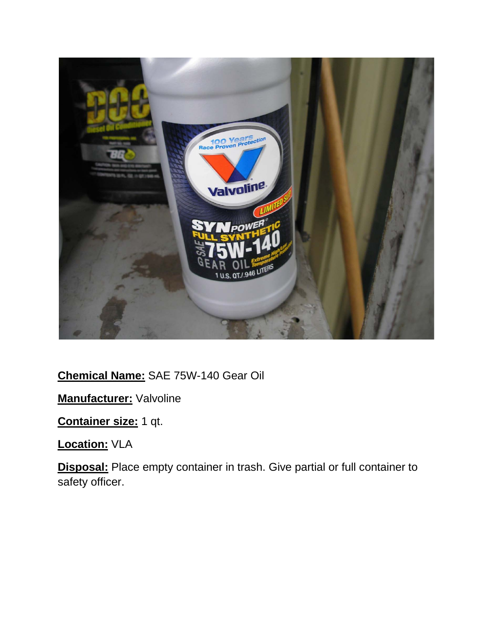

**Chemical Name:** SAE 75W-140 Gear Oil

**Manufacturer:** Valvoline

**Container size:** 1 qt.

**Location:** VLA

**Disposal:** Place empty container in trash. Give partial or full container to safety officer.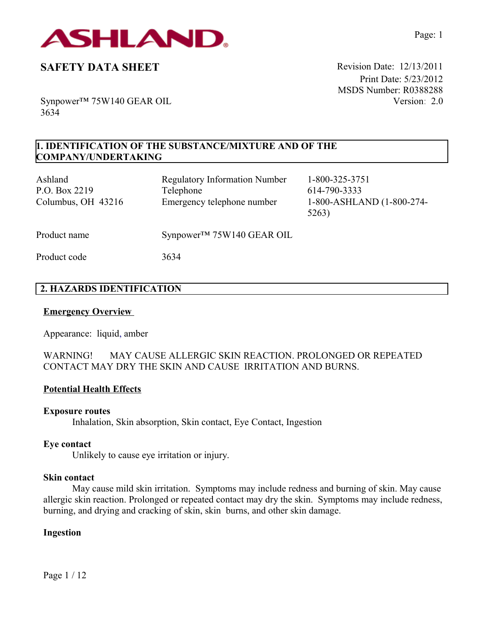

Print Date: 5/23/2012 MSDS Number: R0388288 Version: 2.0

Synpower™ 75W140 GEAR OIL 3634

# **1. IDENTIFICATION OF THE SUBSTANCE/MIXTURE AND OF THE COMPANY/UNDERTAKING**

| Ashland<br>P.O. Box 2219<br>Columbus, OH 43216 | <b>Regulatory Information Number</b><br>Telephone<br>Emergency telephone number | 1-800-325-3751<br>614-790-3333<br>1-800-ASHLAND (1-800-274-<br>5263) |
|------------------------------------------------|---------------------------------------------------------------------------------|----------------------------------------------------------------------|
| Product name                                   | $Synpower^{TM}$ 75W140 GEAR OIL                                                 |                                                                      |
| Product code                                   | 3634                                                                            |                                                                      |

# **2. HAZARDS IDENTIFICATION**

#### **Emergency Overview**

Appearance:liquid, amber

### WARNING! MAY CAUSE ALLERGIC SKIN REACTION. PROLONGED OR REPEATED CONTACT MAY DRY THE SKIN AND CAUSE IRRITATION AND BURNS.

### **Potential Health Effects**

#### **Exposure routes**

Inhalation, Skin absorption, Skin contact, Eye Contact, Ingestion

#### **Eye contact**

Unlikely to cause eye irritation or injury.

### **Skin contact**

May cause mild skin irritation. Symptoms may include redness and burning of skin. May cause allergic skin reaction. Prolonged or repeated contact may dry the skin. Symptoms may include redness, burning, and drying and cracking of skin, skin burns, and other skin damage.

#### **Ingestion**

Page 1 / 12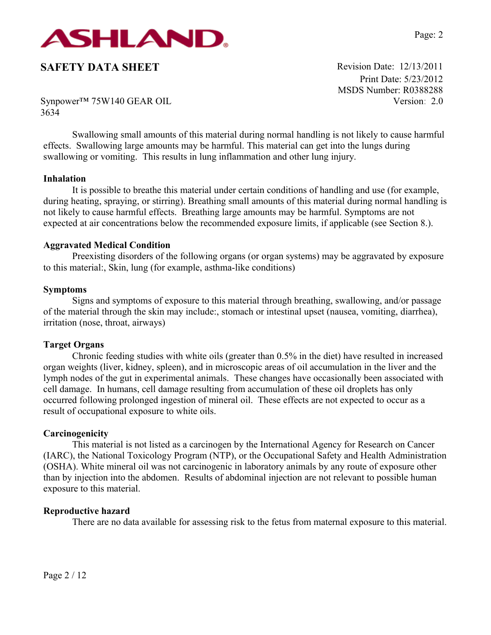

Print Date: 5/23/2012 MSDS Number: R0388288 Version: 2.0

Synpower™ 75W140 GEAR OIL 3634

Swallowing small amounts of this material during normal handling is not likely to cause harmful effects. Swallowing large amounts may be harmful. This material can get into the lungs during swallowing or vomiting. This results in lung inflammation and other lung injury.

#### **Inhalation**

It is possible to breathe this material under certain conditions of handling and use (for example, during heating, spraying, or stirring). Breathing small amounts of this material during normal handling is not likely to cause harmful effects. Breathing large amounts may be harmful. Symptoms are not expected at air concentrations below the recommended exposure limits, if applicable (see Section 8.).

#### **Aggravated Medical Condition**

Preexisting disorders of the following organs (or organ systems) may be aggravated by exposure to this material:, Skin, lung (for example, asthma-like conditions)

#### **Symptoms**

Signs and symptoms of exposure to this material through breathing, swallowing, and/or passage of the material through the skin may include:, stomach or intestinal upset (nausea, vomiting, diarrhea), irritation (nose, throat, airways)

#### **Target Organs**

Chronic feeding studies with white oils (greater than 0.5% in the diet) have resulted in increased organ weights (liver, kidney, spleen), and in microscopic areas of oil accumulation in the liver and the lymph nodes of the gut in experimental animals. These changes have occasionally been associated with cell damage. In humans, cell damage resulting from accumulation of these oil droplets has only occurred following prolonged ingestion of mineral oil. These effects are not expected to occur as a result of occupational exposure to white oils.

#### **Carcinogenicity**

This material is not listed as a carcinogen by the International Agency for Research on Cancer (IARC), the National Toxicology Program (NTP), or the Occupational Safety and Health Administration (OSHA). White mineral oil was not carcinogenic in laboratory animals by any route of exposure other than by injection into the abdomen. Results of abdominal injection are not relevant to possible human exposure to this material.

#### **Reproductive hazard**

There are no data available for assessing risk to the fetus from maternal exposure to this material.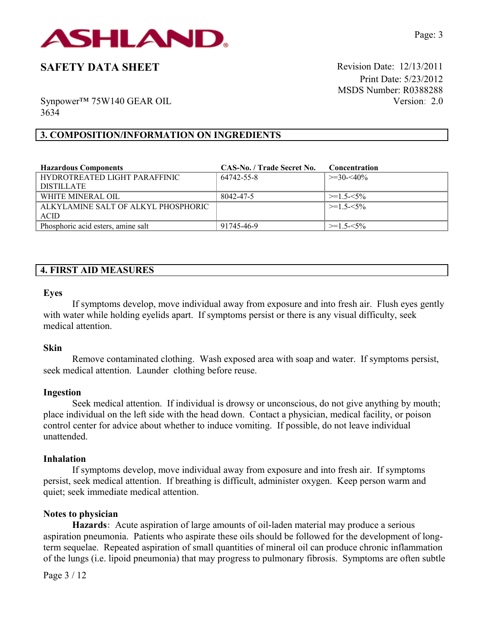

Print Date: 5/23/2012 MSDS Number: R0388288 Version: 2.0

Synpower™ 75W140 GEAR OIL 3634

## **3. COMPOSITION/INFORMATION ON INGREDIENTS**

| <b>Hazardous Components</b>         | CAS-No. / Trade Secret No. | <b>Concentration</b> |
|-------------------------------------|----------------------------|----------------------|
| HYDROTREATED LIGHT PARAFFINIC       | 64742-55-8                 | $\geq$ 30- $\lt$ 40% |
| <b>DISTILLATE</b>                   |                            |                      |
| WHITE MINERAL OIL                   | 8042-47-5                  | $>=1.5 - 5\%$        |
| ALKYLAMINE SALT OF ALKYL PHOSPHORIC |                            | $>=1.5 - 5\%$        |
| <b>ACID</b>                         |                            |                      |
| Phosphoric acid esters, amine salt  | 91745-46-9                 | $>=1.5 -5.5\%$       |

### **4. FIRST AID MEASURES**

#### **Eyes**

If symptoms develop, move individual away from exposure and into fresh air. Flush eyes gently with water while holding eyelids apart. If symptoms persist or there is any visual difficulty, seek medical attention.

#### **Skin**

Remove contaminated clothing. Wash exposed area with soap and water. If symptoms persist, seek medical attention. Launder clothing before reuse.

#### **Ingestion**

Seek medical attention. If individual is drowsy or unconscious, do not give anything by mouth; place individual on the left side with the head down. Contact a physician, medical facility, or poison control center for advice about whether to induce vomiting. If possible, do not leave individual unattended.

#### **Inhalation**

If symptoms develop, move individual away from exposure and into fresh air. If symptoms persist, seek medical attention. If breathing is difficult, administer oxygen. Keep person warm and quiet; seek immediate medical attention.

#### **Notes to physician**

**Hazards:** Acute aspiration of large amounts of oil-laden material may produce a serious aspiration pneumonia. Patients who aspirate these oils should be followed for the development of longterm sequelae. Repeated aspiration of small quantities of mineral oil can produce chronic inflammation of the lungs (i.e. lipoid pneumonia) that may progress to pulmonary fibrosis. Symptoms are often subtle

Page 3 / 12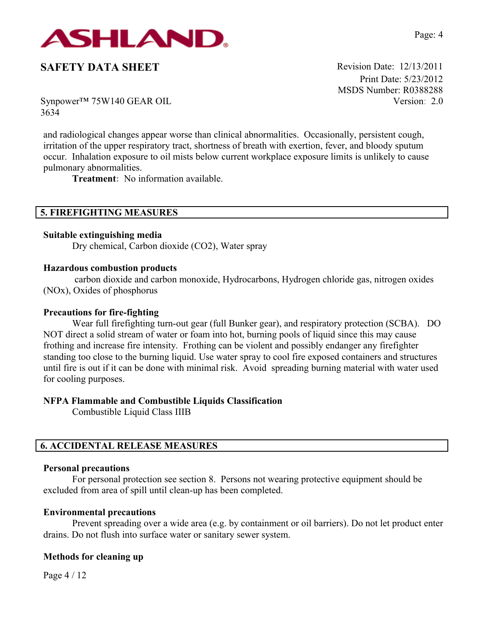

Print Date: 5/23/2012 MSDS Number: R0388288 Version: 2.0

Synpower™ 75W140 GEAR OIL 3634

and radiological changes appear worse than clinical abnormalities. Occasionally, persistent cough, irritation of the upper respiratory tract, shortness of breath with exertion, fever, and bloody sputum occur. Inhalation exposure to oil mists below current workplace exposure limits is unlikely to cause pulmonary abnormalities.

**Treatment:** No information available.

# **5. FIREFIGHTING MEASURES**

### **Suitable extinguishing media**

Dry chemical, Carbon dioxide (CO2), Water spray

#### **Hazardous combustion products**

carbon dioxide and carbon monoxide, Hydrocarbons, Hydrogen chloride gas, nitrogen oxides (NOx), Oxides of phosphorus

#### **Precautions for fire-fighting**

Wear full firefighting turn-out gear (full Bunker gear), and respiratory protection (SCBA). DO NOT direct a solid stream of water or foam into hot, burning pools of liquid since this may cause frothing and increase fire intensity. Frothing can be violent and possibly endanger any firefighter standing too close to the burning liquid. Use water spray to cool fire exposed containers and structures until fire is out if it can be done with minimal risk. Avoid spreading burning material with water used for cooling purposes.

#### **NFPA Flammable and Combustible Liquids Classification**

Combustible Liquid Class IIIB

## **6. ACCIDENTAL RELEASE MEASURES**

#### **Personal precautions**

For personal protection see section 8.Persons not wearing protective equipment should be excluded from area of spill until clean-up has been completed.

#### **Environmental precautions**

Prevent spreading over a wide area (e.g. by containment or oil barriers). Do not let product enter drains. Do not flush into surface water or sanitary sewer system.

#### **Methods for cleaning up**

Page 4 / 12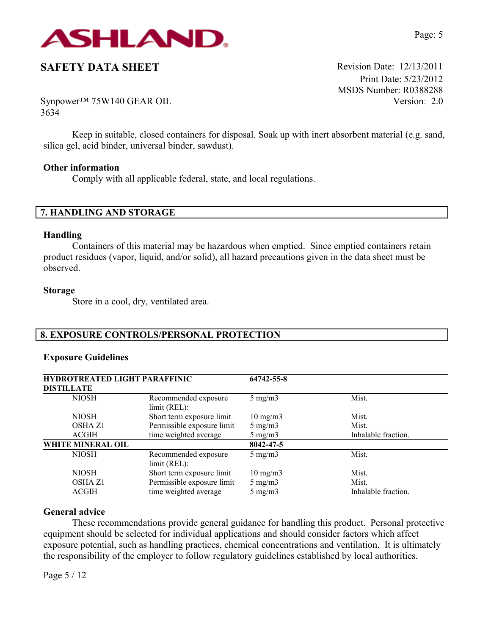

Print Date: 5/23/2012 MSDS Number: R0388288 Version: 2.0

Synpower™ 75W140 GEAR OIL 3634

Keep in suitable, closed containers for disposal. Soak up with inert absorbent material (e.g. sand, silica gel, acid binder, universal binder, sawdust).

#### **Other information**

Comply with all applicable federal, state, and local regulations.

## **7. HANDLING AND STORAGE**

#### **Handling**

Containers of this material may be hazardous when emptied. Since emptied containers retain product residues (vapor, liquid, and/or solid), all hazard precautions given in the data sheet must be observed.

#### **Storage**

Store in a cool, dry, ventilated area.

# **8. EXPOSURE CONTROLS/PERSONAL PROTECTION**

#### **Exposure Guidelines**

| <b>HYDROTREATED LIGHT PARAFFINIC</b><br><b>DISTILLATE</b> |                                      | 64742-55-8        |                     |
|-----------------------------------------------------------|--------------------------------------|-------------------|---------------------|
| <b>NIOSH</b>                                              | Recommended exposure<br>limit (REL): | $5 \text{ mg/m}$  | Mist.               |
| <b>NIOSH</b>                                              | Short term exposure limit            | $10 \text{ mg/m}$ | Mist.               |
| <b>OSHA Z1</b>                                            | Permissible exposure limit           | $5 \text{ mg/m}$  | Mist.               |
| <b>ACGIH</b>                                              | time weighted average                | $5 \text{ mg/m}$  | Inhalable fraction. |
| WHITE MINERAL OIL                                         |                                      | 8042-47-5         |                     |
| <b>NIOSH</b>                                              | Recommended exposure<br>limit (REL): | $5 \text{ mg/m}$  | Mist.               |
| <b>NIOSH</b>                                              | Short term exposure limit            | $10 \text{ mg/m}$ | Mist.               |
| <b>OSHA Z1</b>                                            | Permissible exposure limit           | $5 \text{ mg/m}$  | Mist.               |
| <b>ACGIH</b>                                              | time weighted average                | $5 \text{ mg/m}$  | Inhalable fraction. |

## **General advice**

These recommendations provide general guidance for handling this product. Personal protective equipment should be selected for individual applications and should consider factors which affect exposure potential, such as handling practices, chemical concentrations and ventilation. It is ultimately the responsibility of the employer to follow regulatory guidelines established by local authorities.

Page 5 / 12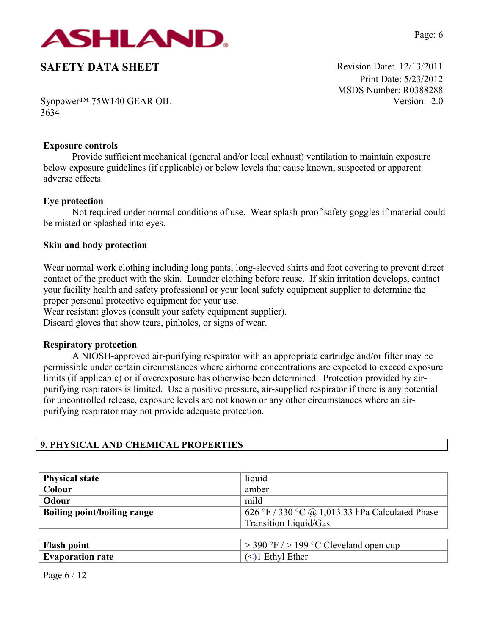

Print Date: 5/23/2012 MSDS Number: R0388288 Version: 2.0

Synpower™ 75W140 GEAR OIL 3634

#### **Exposure controls**

Provide sufficient mechanical (general and/or local exhaust) ventilation to maintain exposure below exposure guidelines (if applicable) or below levels that cause known, suspected or apparent adverse effects.

### **Eye protection**

Not required under normal conditions of use. Wear splash-proof safety goggles if material could be misted or splashed into eyes.

### **Skin and body protection**

Wear normal work clothing including long pants, long-sleeved shirts and foot covering to prevent direct contact of the product with the skin. Launder clothing before reuse. If skin irritation develops, contact your facility health and safety professional or your local safety equipment supplier to determine the proper personal protective equipment for your use.

Wear resistant gloves (consult your safety equipment supplier).

Discard gloves that show tears, pinholes, or signs of wear.

#### **Respiratory protection**

A NIOSH-approved air-purifying respirator with an appropriate cartridge and/or filter may be permissible under certain circumstances where airborne concentrations are expected to exceed exposure limits (if applicable) or if overexposure has otherwise been determined. Protection provided by airpurifying respirators is limited. Use a positive pressure, air-supplied respirator if there is any potential for uncontrolled release, exposure levels are not known or any other circumstances where an airpurifying respirator may not provide adequate protection.

### **9. PHYSICAL AND CHEMICAL PROPERTIES**

| <b>Physical state</b>              | liquid                                          |  |
|------------------------------------|-------------------------------------------------|--|
| Colour                             | amber                                           |  |
| Odour                              | mild                                            |  |
| <b>Boiling point/boiling range</b> | 626 °F / 330 °C @ 1,013.33 hPa Calculated Phase |  |
|                                    | Transition Liquid/Gas                           |  |
|                                    |                                                 |  |
| <b>Flash point</b>                 | $>$ 390 °F $/$ > 199 °C Cleveland open cup      |  |
| <b>Evaporation rate</b>            | $(\le)1$ Ethyl Ether                            |  |

Page 6 / 12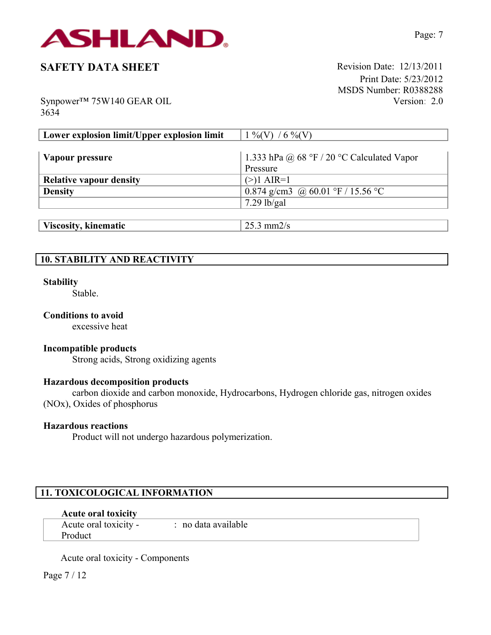

Print Date: 5/23/2012 MSDS Number: R0388288 Version: 2.0

Synpower™ 75W140 GEAR OIL 3634

| Lower explosion limit/Upper explosion limit | $1\%$ (V) / 6 %(V)                         |
|---------------------------------------------|--------------------------------------------|
|                                             |                                            |
| Vapour pressure                             | 1.333 hPa @ 68 °F / 20 °C Calculated Vapor |
|                                             | Pressure                                   |
| <b>Relative vapour density</b>              | $(>)1$ AIR=1                               |
| <b>Density</b>                              | 0.874 g/cm3 @ 60.01 °F / 15.56 °C          |
|                                             | $7.29$ lb/gal                              |
|                                             |                                            |

| Viscosity, kinematic | 25.3 mm2/s |
|----------------------|------------|
|                      |            |

# **10. STABILITY AND REACTIVITY**

#### **Stability**

Stable.

## **Conditions to avoid**

excessive heat

### **Incompatible products**

Strong acids, Strong oxidizing agents

#### **Hazardous decomposition products**

carbon dioxide and carbon monoxide, Hydrocarbons, Hydrogen chloride gas, nitrogen oxides (NOx), Oxides of phosphorus

#### **Hazardous reactions**

Product will not undergo hazardous polymerization.

# **11. TOXICOLOGICAL INFORMATION**

#### **Acute oral toxicity**

Acute oral toxicity - : no data available Product

Acute oral toxicity - Components

Page 7 / 12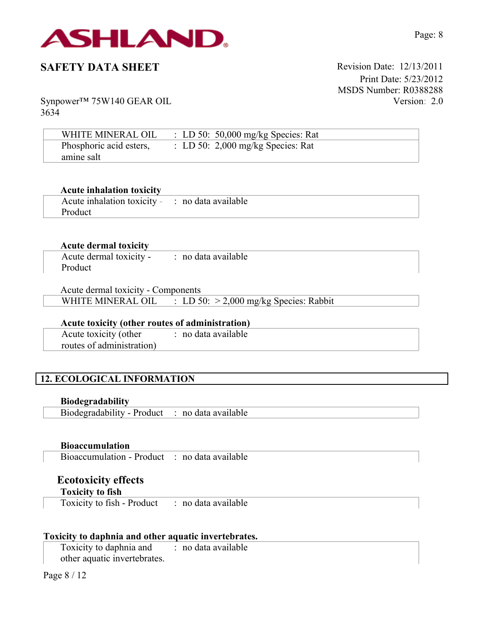

Print Date: 5/23/2012 MSDS Number: R0388288 Version: 2.0

Synpower™ 75W140 GEAR OIL 3634

| WHITE MINERAL OIL       | : LD 50: 50,000 mg/kg Species: Rat  |  |
|-------------------------|-------------------------------------|--|
| Phosphoric acid esters, | : LD 50: $2,000$ mg/kg Species: Rat |  |
| amine salt              |                                     |  |

#### **Acute inhalation toxicity**

| Acute inhalation toxicity - : no data available |  |
|-------------------------------------------------|--|
| Product                                         |  |

#### **Acute dermal toxicity**

| Acute dermal toxicity - | : no data available |
|-------------------------|---------------------|
| Product                 |                     |

Acute dermal toxicity - Components WHITE MINERAL OIL : LD 50: > 2,000 mg/kg Species: Rabbit

### **Acute toxicity (other routes of administration)**

Acute toxicity (other routes of administration) : no data available

# **12. ECOLOGICAL INFORMATION**

**Biodegradability**

Biodegradability - Product : no data available

**Bioaccumulation**

Bioaccumulation - Product : no data available

## **Ecotoxicity effects Toxicity to fish**

Toxicity to fish - Product : no data available

#### **Toxicity to daphnia and other aquatic invertebrates.**

Toxicity to daphnia and other aquatic invertebrates. : no data available

Page 8 / 12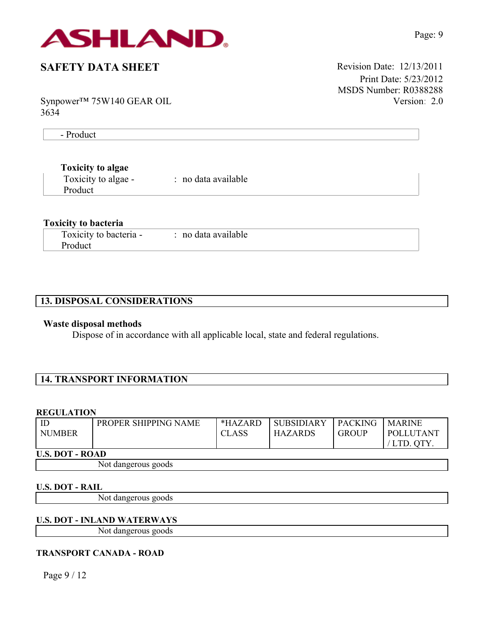

Print Date: 5/23/2012 MSDS Number: R0388288 Version: 2.0

Synpower™ 75W140 GEAR OIL 3634

- Product

### **Toxicity to algae**

| Toxicity to algae - | no data available |  |
|---------------------|-------------------|--|
| Product             |                   |  |

### **Toxicity to bacteria**

| Toxicity to bacteria - | no data available |
|------------------------|-------------------|
| Product                |                   |

# **13. DISPOSAL CONSIDERATIONS**

#### **Waste disposal methods**

Dispose of in accordance with all applicable local, state and federal regulations.

# **14. TRANSPORT INFORMATION**

#### **REGULATION**

| <b>NUMBER</b>          | PROPER SHIPPING NAME | *HAZARD<br><b>CLASS</b> | <b>SUBSIDIARY</b><br><b>HAZARDS</b> | <b>PACKING</b><br><b>GROUP</b> | <b>MARINE</b><br>POLLUTANT<br>' LTD. OTY |
|------------------------|----------------------|-------------------------|-------------------------------------|--------------------------------|------------------------------------------|
| <b>U.S. DOT - ROAD</b> |                      |                         |                                     |                                |                                          |
|                        | Not dangerous goods  |                         |                                     |                                |                                          |

#### **U.S. DOT - RAIL**

Not dangerous goods

#### **U.S. DOT - INLAND WATERWAYS**

Not dangerous goods

#### **TRANSPORT CANADA - ROAD**

Page 9 / 12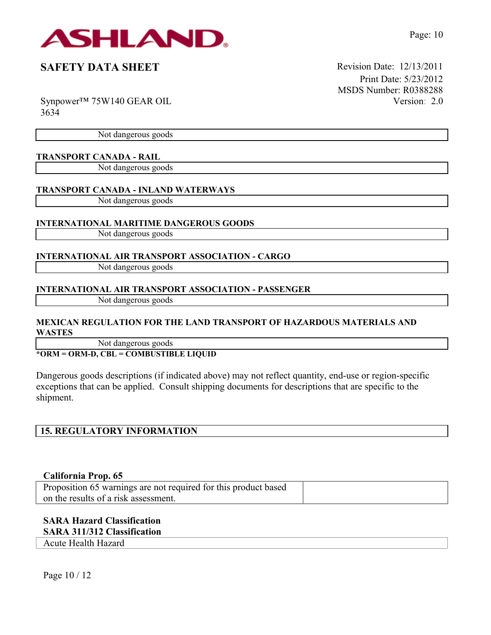

Print Date: 5/23/2012 MSDS Number: R0388288 Version: 2.0

Synpower™ 75W140 GEAR OIL 3634

Not dangerous goods

### **TRANSPORT CANADA - RAIL**

Not dangerous goods

### **TRANSPORT CANADA - INLAND WATERWAYS**

Not dangerous goods

### **INTERNATIONAL MARITIME DANGEROUS GOODS**

Not dangerous goods

### **INTERNATIONAL AIR TRANSPORT ASSOCIATION - CARGO**

Not dangerous goods

## **INTERNATIONAL AIR TRANSPORT ASSOCIATION - PASSENGER**

Not dangerous goods

## **MEXICAN REGULATION FOR THE LAND TRANSPORT OF HAZARDOUS MATERIALS AND WASTES**

Not dangerous goods

## **\*ORM = ORM-D, CBL = COMBUSTIBLE LIQUID**

Dangerous goods descriptions (if indicated above) may not reflect quantity, end-use or region-specific exceptions that can be applied. Consult shipping documents for descriptions that are specific to the shipment.

# **15. REGULATORY INFORMATION**

### **California Prop. 65**

Proposition 65 warnings are not required for this product based on the results of a risk assessment.

# **SARA Hazard Classification**

#### **SARA 311/312 Classification**

Acute Health Hazard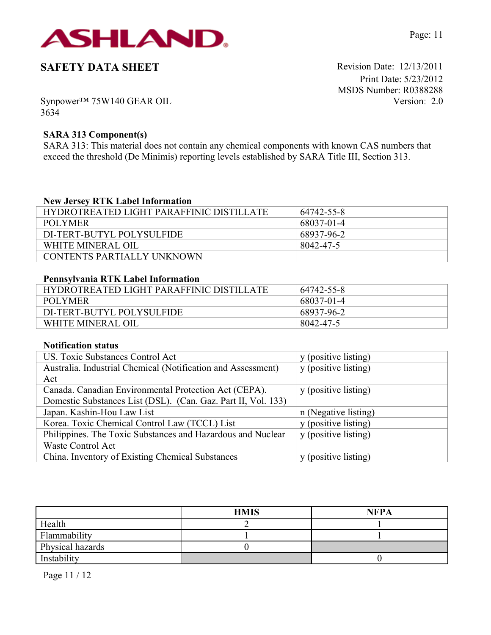

Print Date: 5/23/2012 MSDS Number: R0388288 Version: 2.0

Synpower™ 75W140 GEAR OIL 3634

## **SARA 313 Component(s)**

SARA 313: This material does not contain any chemical components with known CAS numbers that exceed the threshold (De Minimis) reporting levels established by SARA Title III, Section 313.

## **New Jersey RTK Label Information**

| HYDROTREATED LIGHT PARAFFINIC DISTILLATE | 64742-55-8 |
|------------------------------------------|------------|
| POLYMER                                  | 68037-01-4 |
| DI-TERT-BUTYL POLYSULFIDE                | 68937-96-2 |
| WHITE MINERAL OIL                        | 8042-47-5  |
| CONTENTS PARTIALLY UNKNOWN               |            |

## **Pennsylvania RTK Label Information**

| HYDROTREATED LIGHT PARAFFINIC DISTILLATE | 64742-55-8 |
|------------------------------------------|------------|
| POLYMER                                  | 68037-01-4 |
| DI-TERT-BUTYL POLYSULFIDE                | 68937-96-2 |
| WHITE MINERAL OIL                        | 8042-47-5  |

#### **Notification status**

| US. Toxic Substances Control Act                              | y (positive listing) |
|---------------------------------------------------------------|----------------------|
| Australia. Industrial Chemical (Notification and Assessment)  | y (positive listing) |
| Act                                                           |                      |
| Canada. Canadian Environmental Protection Act (CEPA).         | y (positive listing) |
| Domestic Substances List (DSL). (Can. Gaz. Part II, Vol. 133) |                      |
| Japan. Kashin-Hou Law List                                    | n (Negative listing) |
| Korea. Toxic Chemical Control Law (TCCL) List                 | y (positive listing) |
| Philippines. The Toxic Substances and Hazardous and Nuclear   | y (positive listing) |
| <b>Waste Control Act</b>                                      |                      |
| China. Inventory of Existing Chemical Substances              | y (positive listing) |

|                  | <b>HMIS</b> | <b>NFPA</b> |
|------------------|-------------|-------------|
| Health           |             |             |
| Flammability     |             |             |
| Physical hazards |             |             |
| Instability      |             |             |

Page 11 / 12